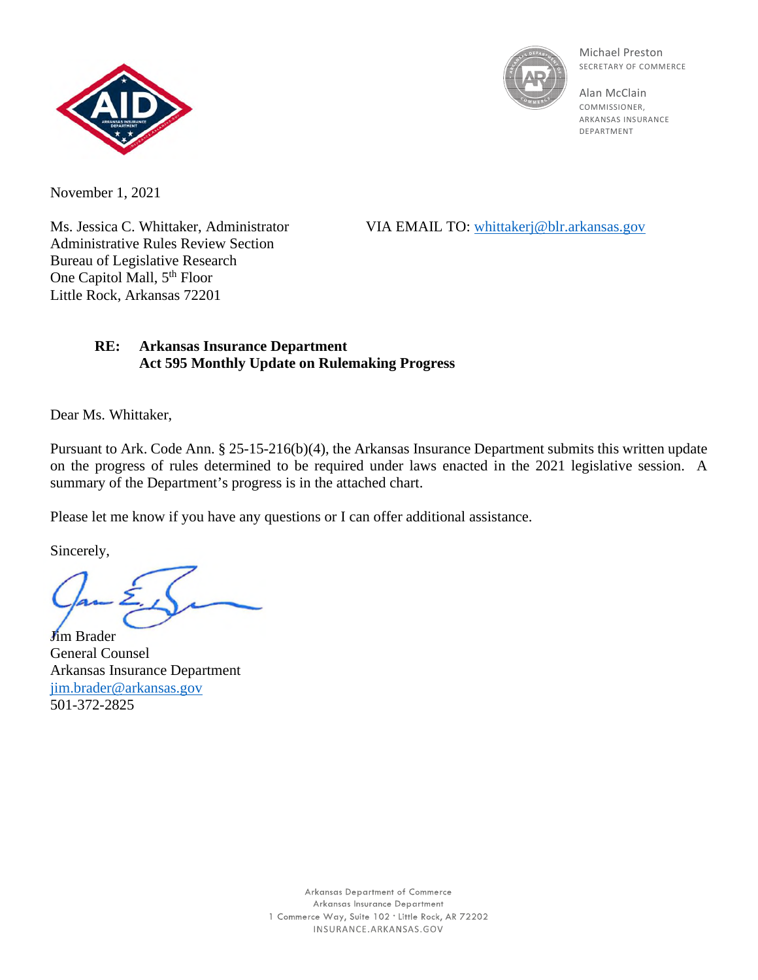



Michael Preston SECRETARY OF COMMERCE

Alan McClain COMMISSIONER, ARKANSAS INSURANCE DEPARTMENT

November 1, 2021

Administrative Rules Review Section Bureau of Legislative Research One Capitol Mall, 5<sup>th</sup> Floor Little Rock, Arkansas 72201

Ms. Jessica C. Whittaker, Administrator VIA EMAIL TO: [whittakerj@blr.arkansas.gov](mailto:whittakerj@blr.arkansas.gov)

## **RE: Arkansas Insurance Department Act 595 Monthly Update on Rulemaking Progress**

Dear Ms. Whittaker,

Pursuant to Ark. Code Ann. § 25-15-216(b)(4), the Arkansas Insurance Department submits this written update on the progress of rules determined to be required under laws enacted in the 2021 legislative session. A summary of the Department's progress is in the attached chart.

Please let me know if you have any questions or I can offer additional assistance.

Sincerely,

**Jim Brader** General Counsel Arkansas Insurance Department [jim.brader@arkansas.gov](mailto:jim.brader@arkansas.gov) 501-372-2825

> Arkansas Department of Commerce Arkansas Insurance Department 1 Commerce Way, Suite 102 . Little Rock, AR 72202 INSURANCE.ARKANSAS.GOV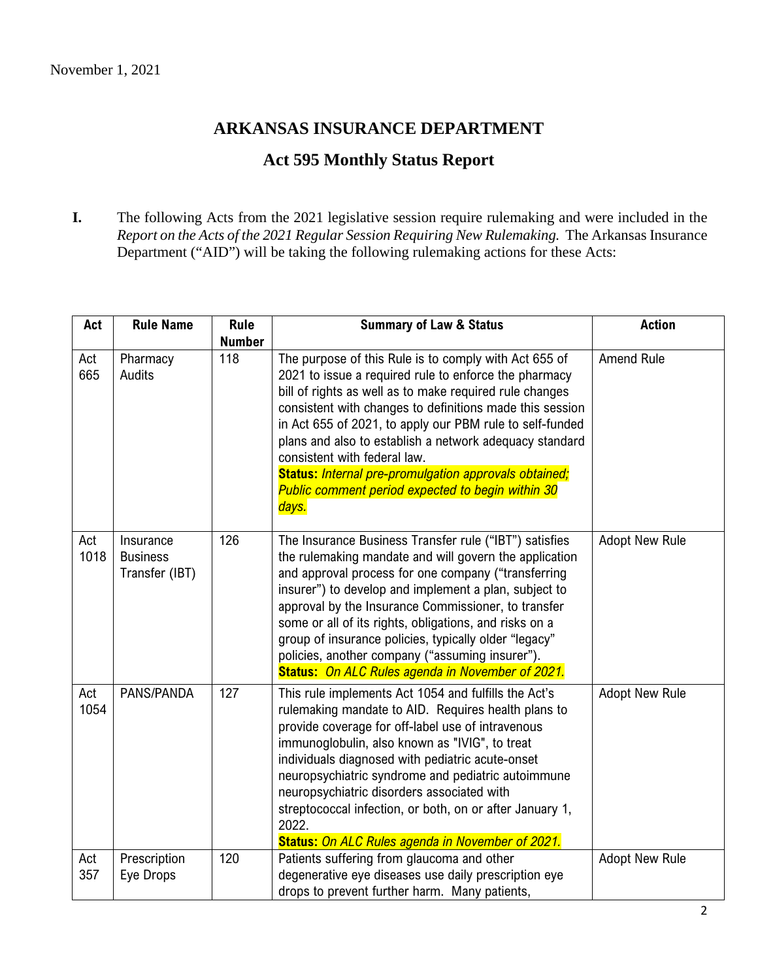## **ARKANSAS INSURANCE DEPARTMENT**

## **Act 595 Monthly Status Report**

**I.** The following Acts from the 2021 legislative session require rulemaking and were included in the *Report on the Acts of the 2021 Regular Session Requiring New Rulemaking.* The Arkansas Insurance Department ("AID") will be taking the following rulemaking actions for these Acts:

| Act         | <b>Rule Name</b>                               | <b>Rule</b>          | <b>Summary of Law &amp; Status</b>                                                                                                                                                                                                                                                                                                                                                                                                                                                                                         | <b>Action</b>         |
|-------------|------------------------------------------------|----------------------|----------------------------------------------------------------------------------------------------------------------------------------------------------------------------------------------------------------------------------------------------------------------------------------------------------------------------------------------------------------------------------------------------------------------------------------------------------------------------------------------------------------------------|-----------------------|
| Act<br>665  | Pharmacy<br>Audits                             | <b>Number</b><br>118 | The purpose of this Rule is to comply with Act 655 of<br>2021 to issue a required rule to enforce the pharmacy<br>bill of rights as well as to make required rule changes<br>consistent with changes to definitions made this session<br>in Act 655 of 2021, to apply our PBM rule to self-funded<br>plans and also to establish a network adequacy standard<br>consistent with federal law.<br>Status: Internal pre-promulgation approvals obtained;<br><b>Public comment period expected to begin within 30</b><br>days. | Amend Rule            |
| Act<br>1018 | Insurance<br><b>Business</b><br>Transfer (IBT) | 126                  | The Insurance Business Transfer rule ("IBT") satisfies<br>the rulemaking mandate and will govern the application<br>and approval process for one company ("transferring<br>insurer") to develop and implement a plan, subject to<br>approval by the Insurance Commissioner, to transfer<br>some or all of its rights, obligations, and risks on a<br>group of insurance policies, typically older "legacy"<br>policies, another company ("assuming insurer").<br><b>Status: On ALC Rules agenda in November of 2021.</b>   | <b>Adopt New Rule</b> |
| Act<br>1054 | PANS/PANDA                                     | 127                  | This rule implements Act 1054 and fulfills the Act's<br>rulemaking mandate to AID. Requires health plans to<br>provide coverage for off-label use of intravenous<br>immunoglobulin, also known as "IVIG", to treat<br>individuals diagnosed with pediatric acute-onset<br>neuropsychiatric syndrome and pediatric autoimmune<br>neuropsychiatric disorders associated with<br>streptococcal infection, or both, on or after January 1,<br>2022.<br>Status: On ALC Rules agenda in November of 2021.                        | <b>Adopt New Rule</b> |
| Act<br>357  | Prescription<br>Eye Drops                      | 120                  | Patients suffering from glaucoma and other<br>degenerative eye diseases use daily prescription eye<br>drops to prevent further harm. Many patients,                                                                                                                                                                                                                                                                                                                                                                        | <b>Adopt New Rule</b> |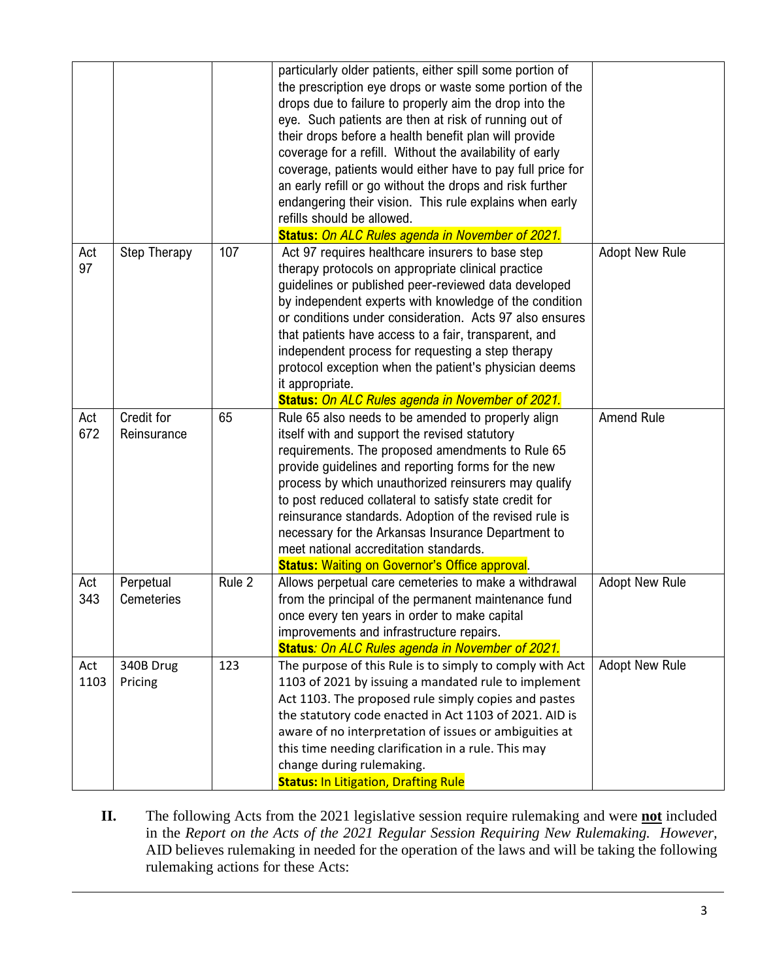|      |                     |        | particularly older patients, either spill some portion of  |                       |
|------|---------------------|--------|------------------------------------------------------------|-----------------------|
|      |                     |        | the prescription eye drops or waste some portion of the    |                       |
|      |                     |        | drops due to failure to properly aim the drop into the     |                       |
|      |                     |        | eye. Such patients are then at risk of running out of      |                       |
|      |                     |        | their drops before a health benefit plan will provide      |                       |
|      |                     |        | coverage for a refill. Without the availability of early   |                       |
|      |                     |        | coverage, patients would either have to pay full price for |                       |
|      |                     |        | an early refill or go without the drops and risk further   |                       |
|      |                     |        | endangering their vision. This rule explains when early    |                       |
|      |                     |        | refills should be allowed.                                 |                       |
|      |                     |        | <b>Status: On ALC Rules agenda in November of 2021.</b>    |                       |
| Act  | <b>Step Therapy</b> | 107    | Act 97 requires healthcare insurers to base step           | <b>Adopt New Rule</b> |
| 97   |                     |        | therapy protocols on appropriate clinical practice         |                       |
|      |                     |        | guidelines or published peer-reviewed data developed       |                       |
|      |                     |        | by independent experts with knowledge of the condition     |                       |
|      |                     |        | or conditions under consideration. Acts 97 also ensures    |                       |
|      |                     |        | that patients have access to a fair, transparent, and      |                       |
|      |                     |        | independent process for requesting a step therapy          |                       |
|      |                     |        | protocol exception when the patient's physician deems      |                       |
|      |                     |        | it appropriate.                                            |                       |
|      |                     |        | Status: On ALC Rules agenda in November of 2021.           |                       |
| Act  | Credit for          | 65     | Rule 65 also needs to be amended to properly align         | <b>Amend Rule</b>     |
| 672  | Reinsurance         |        | itself with and support the revised statutory              |                       |
|      |                     |        | requirements. The proposed amendments to Rule 65           |                       |
|      |                     |        | provide guidelines and reporting forms for the new         |                       |
|      |                     |        | process by which unauthorized reinsurers may qualify       |                       |
|      |                     |        | to post reduced collateral to satisfy state credit for     |                       |
|      |                     |        | reinsurance standards. Adoption of the revised rule is     |                       |
|      |                     |        | necessary for the Arkansas Insurance Department to         |                       |
|      |                     |        | meet national accreditation standards.                     |                       |
|      |                     |        | <b>Status: Waiting on Governor's Office approval.</b>      |                       |
| Act  | Perpetual           | Rule 2 | Allows perpetual care cemeteries to make a withdrawal      | <b>Adopt New Rule</b> |
| 343  | <b>Cemeteries</b>   |        | from the principal of the permanent maintenance fund       |                       |
|      |                     |        | once every ten years in order to make capital              |                       |
|      |                     |        | improvements and infrastructure repairs.                   |                       |
|      |                     |        | Status: On ALC Rules agenda in November of 2021.           |                       |
| Act  | 340B Drug           | 123    | The purpose of this Rule is to simply to comply with Act   | <b>Adopt New Rule</b> |
| 1103 | Pricing             |        | 1103 of 2021 by issuing a mandated rule to implement       |                       |
|      |                     |        | Act 1103. The proposed rule simply copies and pastes       |                       |
|      |                     |        | the statutory code enacted in Act 1103 of 2021. AID is     |                       |
|      |                     |        | aware of no interpretation of issues or ambiguities at     |                       |
|      |                     |        | this time needing clarification in a rule. This may        |                       |
|      |                     |        | change during rulemaking.                                  |                       |
|      |                     |        | <b>Status: In Litigation, Drafting Rule</b>                |                       |

**II.** The following Acts from the 2021 legislative session require rulemaking and were **not** included in the *Report on the Acts of the 2021 Regular Session Requiring New Rulemaking. However,* AID believes rulemaking in needed for the operation of the laws and will be taking the following rulemaking actions for these Acts: